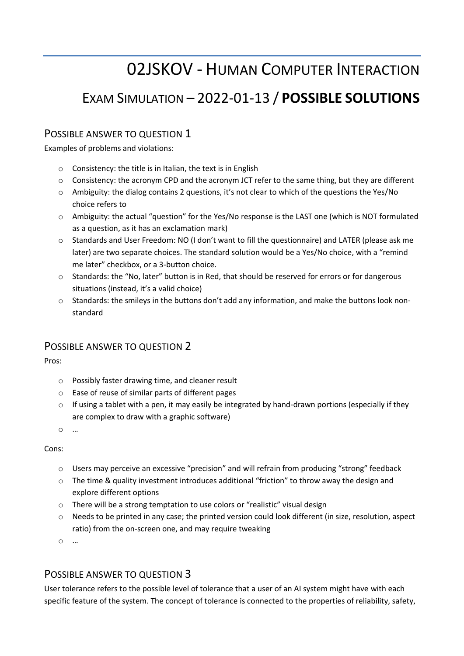# 02JSKOV - HUMAN COMPUTER INTERACTION

## EXAM SIMULATION ʹ 2022-01-13 / **POSSIBLE SOLUTIONS**

### POSSIBLE ANSWER TO QUESTION 1

Examples of problems and violations:

- o Consistency: the title is in Italian, the text is in English
- o Consistency: the acronym CPD and the acronym JCT refer to the same thing, but they are different
- $\circ$  Ambiguity: the dialog contains 2 questions, it's not clear to which of the questions the Yes/No choice refers to
- $\circ$  Ambiguity: the actual "question" for the Yes/No response is the LAST one (which is NOT formulated as a question, as it has an exclamation mark)
- $\circ$  Standards and User Freedom: NO (I don't want to fill the questionnaire) and LATER (please ask me later) are two separate choices. The standard solution would be a Yes/No choice, with a "remind me later" checkbox, or a 3-button choice.
- $\circ$  Standards: the "No, later" button is in Red, that should be reserved for errors or for dangerous situations (instead, it's a valid choice)
- $\circ$  Standards: the smileys in the buttons don't add any information, and make the buttons look nonstandard

#### POSSIBLE ANSWER TO QUESTION 2

Pros:

- o Possibly faster drawing time, and cleaner result
- o Ease of reuse of similar parts of different pages
- o If using a tablet with a pen, it may easily be integrated by hand-drawn portions (especially if they are complex to draw with a graphic software)
- $\circ$   $\ldots$

Cons:

- o Users may perceive an excessive "precision" and will refrain from producing "strong" feedback
- $\circ$  The time & quality investment introduces additional "friction" to throw away the design and explore different options
- ⊙ There will be a strong temptation to use colors or "realistic" visual design
- o Needs to be printed in any case; the printed version could look different (in size, resolution, aspect ratio) from the on-screen one, and may require tweaking

 $\circ$   $\ldots$ 

#### POSSIBLE ANSWER TO QUESTION 3

User tolerance refers to the possible level of tolerance that a user of an AI system might have with each specific feature of the system. The concept of tolerance is connected to the properties of reliability, safety,